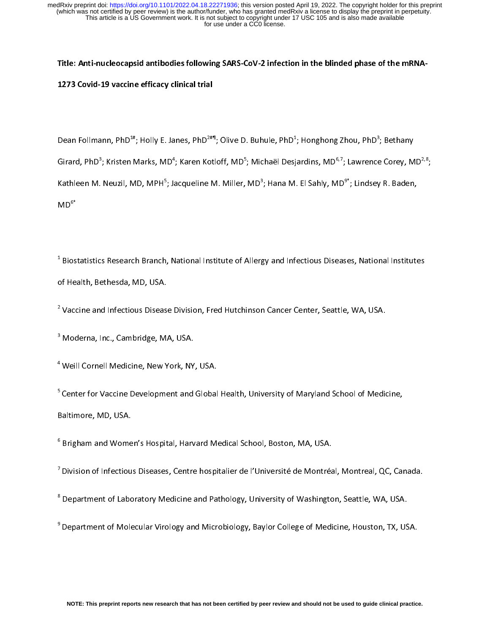Title: Anti-nucleocapsid antibodies following SARS-CoV-2 infection in the blinded phase of the mRNA-1273 Covid-19 vaccine efficacy clinical trial

Dean Follmann, PhD<sup>4</sup>"; Holly E. Janes, PhD<sup>2#</sup>"; Olive D. Buhule, PhD<sup>4</sup>; Honghong Zhou, PhD<sup>3</sup><br>U ; Bethany Girard, PhD°; Kristen Marks, MD<sup>-</sup>; Karen Kotloff, MD°; Michaël Desjardins, MD°<sup>,</sup>′; Lawrence Corey, MD<sup>2,</sup>°;<br>-Kathleen M. Neuzil, MD, MPH°; Jacqueline M. Miller, MD°; Hana M. El Sahly, MD°; Lindsey R. Baden,<br>...  $MD<sup>6*</sup>$ 

 $1$  Biostatistics Research Branch, National Institute of Allergy and Infectious Diseases, National Institutes  $B_{\rm B}$  and  $B_{\rm B}$  and  $B_{\rm B}$  and Institute of Allergy and Institutes,  $N$ of Health, Bethesda, MD, USA.

<sup>2</sup> Vaccine and Infectious Disease Division, Fred Hutchinson Cancer Center, Seattle, WA, USA. Vaccine and Infectious Disease Division, Fred Hutchinson Cancer Center, Seattle, WA, USA.

<sup>3</sup> Moderna, Inc., Cambridge, MA, USA.  $M_{\odot}$  moderna,  $M_{\odot}$  and  $M_{\odot}$  and  $M_{\odot}$  and  $M_{\odot}$ 

4 Weill Cornell Medicine, New York, NY, USA.

<sup>5</sup> Center for Vaccine Development and Global Health, University of Maryland School of Medicine, Baltimore, MD, USA.

<sup>6</sup> Brigham and Women's Hospital, Harvard Medical School, Boston, MA, USA. Brigham and Women's Hospital, Harvard Medical School, Boston, MA, USA.

 $7$  Division of Infectious Diseases, Centre hospitalier de l'Université de Montréal, Montreal, QC, Canada.

<sup>8</sup> Department of Laboratory Medicine and Pathology, University of Washington, Seattle, WA, USA. Department of Laboratory Medicine and Pathology, University of Washington, Seattle, WA, USA.

 $9$  Department of Molecular Virology and Microbiology, Baylor College of Medicine, Houston, TX, USA.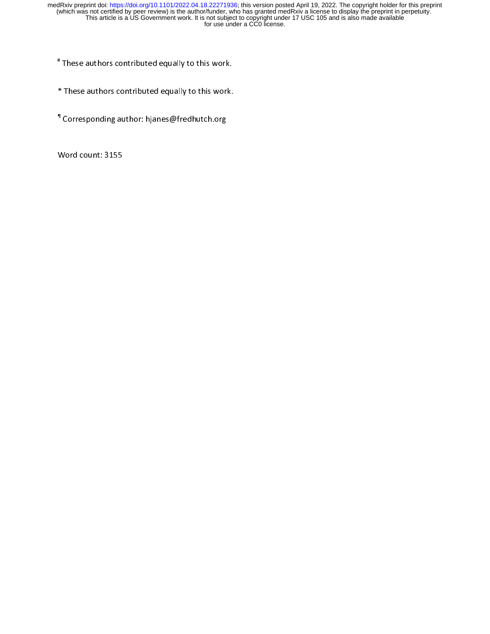# These authors contributed equally to this work. These authors contributed equally to this work.

- \* These authors contributed equally to this work.
- <sup>1</sup> Corresponding author: hjanes@fredhutch.org Corresponding author: hjanes@fredhutch.org

 $\overline{a}$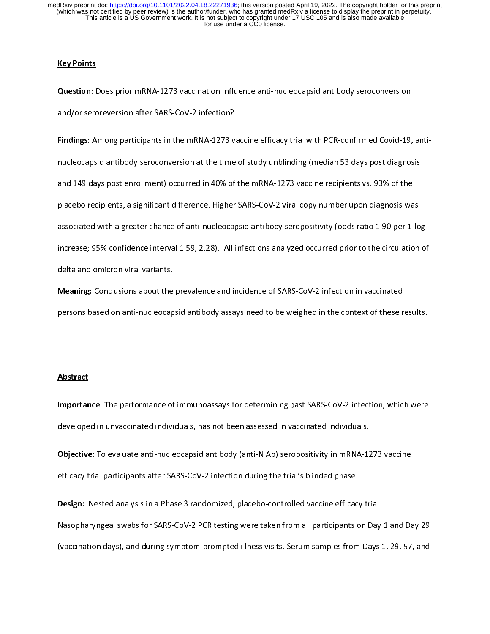# **Key Points**

Question: Does prior mRNA-1273 vaccination influence anti-nucleocapsid antibody seroconversion and/or seroreversion after SARS-CoV-2 infection?

Findings: Among participants in the mRNA-1273 vaccine efficacy trial with PCR-confirmed Covid-19, anti-<br>nucleocapsid antibody seroconversion at the time of study unblinding (median 53 days post diagnosis nucleocapsid antibody seroconversion at the time of study unblinding (median 53 days post diagnosis and 149 days post enrollment) occurred in 40% of the mRNA-1273 vaccine recipients vs. 93% of the placebo recipients, a significant difference. Higher SARS-CoV-2 viral copy number upon diagnosis was associated with a greater chance of anti-nucleocapsid antibody seropositivity (odds ratio 1.90 per 1-log increase; 95% confidence interval 1.59, 2.28). All infections analyzed occurred prior to the circulation of

Meaning: Conclusions about the prevalence and incidence of SARS-CoV-2 infection in vaccinated<br>persons based on anti-nucleocapsid antibody assays need to be weighed in the context of these results. persons based on anti-nucleocapsid antibody assays need to be weighed in the context of these results.

# **Abstract**

Importance: The performance of immunoassays for determining past SARS-CoV-2 infection, which were developed in unvaccinated individuals, has not been assessed in vaccinated individuals.

Objective: To evaluate anti-nucleocapsid antibody (anti-N Ab) seropositivity in mRNA-1273 vaccine<br>efficacy trial participants after SARS-CoV-2 infection during the trial's blinded phase. efficacy trial participants after SARS-CoV-2 infection during the trial's blinded phase.

Design: Nested analysis in a Phase 3 randomized, placebo-controlled vaccine efficacy trial.<br>Nasopharyngeal swabs for SARS-CoV-2 PCR testing were taken from all participants on Day 1 and Day 29  $N_{\rm F}$  ,  $N_{\rm G}$  sars-covered some set  $\sim$  SARS-Coverage were taken from all participants on Day 1 and Day 1  $\sim$ (vaccination days), and during symptom-prompted illness visits. Services visits. Services  $\mathcal{L}$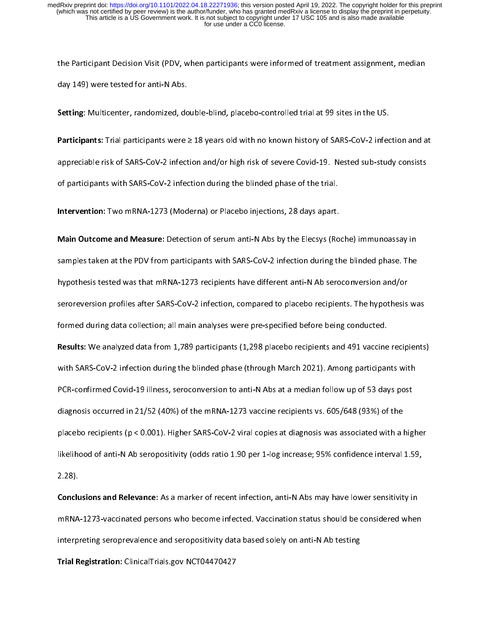$t_{\rm F}$  are participant Decision Visit (PDV, when participants were informed of treatment assignment, median day 149) were tested for anti-N Abs.

Setting: Multicenter, randomized, double-blind, placebo-controlled trial at 99 sites in the US.

Participants: Trial participants were ≥ 18 years old with no known history of SARS-CoV-2 infection and at appreciable risk of  $\sim$   $\frac{1}{2}$ . Nested sub-study consists of severe Covid-19. Nested sub-study consists of severe Covid-19. Nested sub-study consists of severe Covid-19. Nested sub-study consists of severe Covid-19. N of participants with SARS-CoV-2 infection during the blinded phase of the trial.

Intervention: Two mRNA-1273 (Moderna) or Placebo injections, 28 days apart.

**Main Outcome and Measure:** Detection of serum anti-N Abs by the Elecsys (Roche) immunoassay in<br>samples taken at the PDV from participants with SARS-CoV-2 infection during the blinded phase. The samples taken at the PDV from participants with SARS-CoV-2 infection during the blinded phase. The hypothesis tested was that mRNA-1273 recipients have different anti-N Ab seroconversion and/or seroreversion profiles after SARS-CoV-2 infection, compared to placebo recipients. The hypothesis was formed during data collection; all main analyses were pre-specified before being conducted. Results: We analyzed data from 1,789 participants (1,298 placebo recipients and 491 vaccine recipients)<br>with SARS-CoV-2 infection during the blinded phase (through March 2021). Among participants with with SARS-Covering the blinded phase (through March 2021). Among participants with  $\frac{1}{2}$ PCR-confirmed Covid-19 illness, seroconversion to anti-N Abs at a median follow up of 53 days post diagnosis occurred in 21/52 (40%) of the mRNA-1273 vaccine recipients vs. 605/648 (93%) of the placebo recipients (p < 0.001). Higher SARS-CoV-2 viral copies at diagnosis was associated with a higher likelihood of anti-N  $\alpha$  seriously (odds ratio 1.90 per 1-log increase; 95% confidence interval 1.59, 2.28).

Conclusions and Relevance: As a marker of recent infection, anti-N Abs may have lower sensitivity in  $\mathcal{P}$  and  $\mathcal{P}$  vacanties persons who become infected. Vacanties when  $\mathcal{P}$  is shown in  $\mathcal{P}$ interpreting seroprevalence and seropositivity data based solely on anti-N Ab testing Trial Registration: ClinicalTrials.gov NCT04470427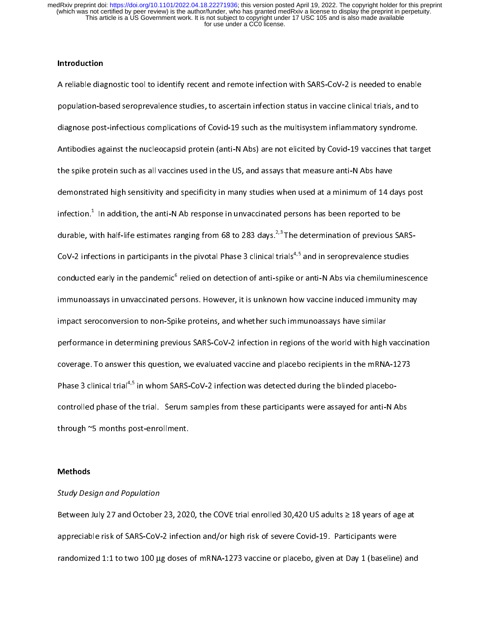## Introduction

 $A \sim \text{R}$  reliable diagnostic tool to identify recent and remote infection with SARS-CoV-2 is needed to enable population-based seroprevalence studies, to ascertain infection status in vaccine clinical trials, and to diagnose post-infectious complications of Covid-19 such as the multisystem inflammatory syndrome.  $A_n = \frac{1}{\sqrt{2}}$  and  $A_n = \frac{1}{\sqrt{2}}$  vaccines that target by  $C_n = \frac{1}{\sqrt{2}}$  vaccines that target by  $C_n = \frac{1}{\sqrt{2}}$  $t_{\rm F}$  spine protein such as all vaccines used in the US, and assays that measure and  $N_{\rm F}$ demonstrated high sensitivity and specificity in many studies when used at a minimum of 14 days post infection.<sup>1</sup> In addition, the anti-N Ab response in unvaccinated persons has been reported to be In addition, the anti-N Ab response in unvaccinated persons has been reported to be durable, with half-life estimates ranging from 68 to 283 days.2,3 The determination of previous SARS-CoV-2 infections in participants in the pivotal Phase 3 clinical trials<sup>4,5</sup> and in seroprevalence studies conducted early in the pandemic<sup>6</sup> relied on detection of anti-spike or anti-N Abs via chemiluminescence<br>immunoassays in unvaccinated persons. However, it is unknown how vaccine induced immunity may relied on detection of anti-spike or anti-N Abs via chemiluminescence immuno $\mathbf{r}$  is unvaccinated persons. However, it is understood induced immunity may impact seroconversion to non-Spike proteins, and whether such immunoassays have similar performance in determining previous SARS-CoV-2 infection in regions of the world with high vaccination<br>coverage. To answer this question, we evaluated vaccine and placebo recipients in the mRNA-1273 coverage. To answer this question, we evaluated vaccine and placebo recipients in the mRNA-1273 Phase 3 clinical trial<sup>4,5</sup> in whom SARS-CoV-2 infection was detected during the blinded placebo-<br>controlled phase of the trial. Serum samples from these participants were assayed for anti-N Abs controlled phase of the trial. Serum samples from these participants were assayed for anti-N Abs  $\frac{1}{\sqrt{2}}$  months post-enrollment.

# Methods

# Study Design and Population

Between July 27 and October 23, 2020, the COVE trial enrolled 30,420 US adults ≥ 18 years of age at appreciable risk of  $\mathcal{L}$  infection and or high risk of severe Covid-19. Participants were  $\mathcal{L}$ randomized 1:1 to two 100 μg doses of mRNA-1273 vaccine or placebo, given at Day 1 (baseline) and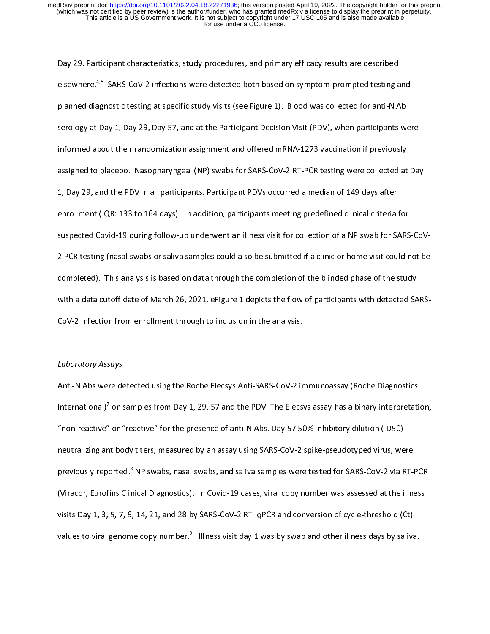Day 29. Participant characteristics, study procedures, and primary efficacy results are described elsewhere.<sup>4,5</sup> SARS-CoV-2 infections were detected both based on symptom-prompted testing and<br>planned diagnostic testing at specific study visits (see Figure 1). Blood was collected for anti-N Ab planned diagnostic testing at specific study visits (see Figure 1). Blood was collected for anti-N Ab servology at  $\Delta$   $\mu$  1, Day  $\Delta$  1, Day 37, and at the Participant Decision Visit (PDV), when participants were informed about their randomization assignment and offered mRNA-1273 vaccination if previously assigned to placebo. Nasopharyngeal (NP) swabs for SARS-CoV-2 RT-PCR testing were collected at Day 1, Day 29, and the PDV in all participants. Participant PDVs occurred a median of 149 days after enrollment (IQR: 133 to 164 days). In addition, participants meeting predefined clinical criteria for  $2\alpha$  PCR testing (nasal swabs or saliva samples could not be submitted if a clinic or home visit could not be submitted if a clinical notation of  $\alpha$ completed). This analysis is based on data through the completion of the study of the study of the study of th CoV-2 infection from enrollment through to inclusion in the analysis.

### Laboratory Assays

 $A = \frac{1}{\sqrt{N}}$  and  $B = \frac{1}{\sqrt{N}}$  immunostics  $\frac{1}{\sqrt{N}}$  immunostics  $\frac{1}{\sqrt{N}}$ International)<sup>7</sup> on samples from Day 1, 29, 57 and the PDV. The Elecsys assay has a binary interpretation,<br>"non-reactive" or "reactive" for the presence of anti-N Abs. Day 57 50% inhibitory dilution (ID50) on samples from Day 1, 29, 57 and the PDV. The Elecsys assay has a binary interpretation,  $\mathcal{L}$  and reactive  $\mathcal{L}$  for the presence of anti-N  $\mathcal{L}$  and  $\mathcal{L}$  and  $\mathcal{L}$  inhibitory distribution (ID50) in  $\mathcal{L}$ neutralizing antibody titers, measured by an assay using SARS-CoV-2 spike-pseudotyped virus, were previously reported.<sup>8</sup> NP swabs, nasal swabs, and saliva samples were tested for SARS-CoV-2 via RT-PCR<br>(Viracor, Eurofins Clinical Diagnostics). In Covid-19 cases, viral copy number was assessed at the illness NP swabs, nasal swabs, and saliva samples were tested for SARS-CoV-2 via RT-PCR  $\mathcal{C}$  is considered at the indicated at the indicated at the indicated at the indicated at the illness set of  $\mathcal{C}$ visits Day 1, 3, 5, 7, 9, 14, 21, and 28 by SARS-CoV-2 RT–qPCR and conversion of cycle-threshold (Ct) values to viral genome copy number. $9$  Illness visit day 1 was by swab and other illness days by saliva. Illness visit day 1 was by swab and other illness days by saliva.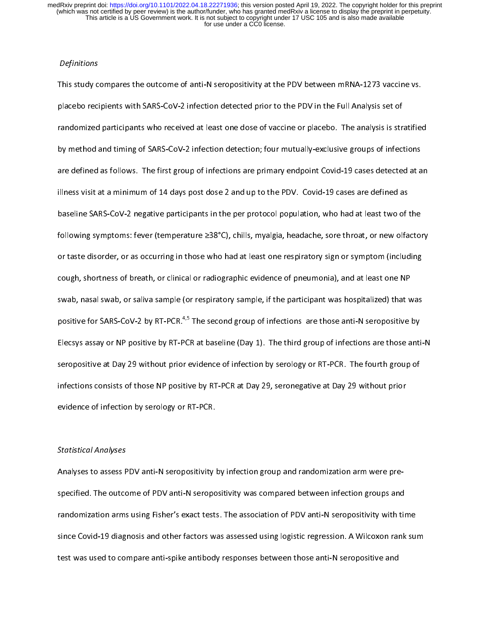# **Definitions**

This study compares the outcome of anti-N seropositivity at the PDV between mRNA-1273 vaccine vs. placebo recipients with SARS-CoV-2 infection detected prior to the PDV in the Full Analysis set of randomized participants who received at least one dose of vaccine or placebo. The analysis is stratified by method and timing of SARS-CoV-2 infection detection; four mutually-exclusive groups of infections are defined as follows. The first group of infections are primary endpoint  $\sigma$  cases detected at any illness visit at a minimum of 14 days post dose 2 and up to the PDV. Covid-19 cases are defined as baseline SARS-CoV-2 negative participants in the per protocol population, who had at least two of the following symptoms: feed (temperature  $\cong s$ ), child, myalgia, headache, sore throat, or new orientality or taste disorder, or as occurring in those who had at least one respiratory sign or symptom (including coupled by shortness of breath, or clinical or radiographic evidence of pneumonial  $\mathcal{L}$ swab, nasal swab, or saliva sample (or respiratory sample, if the participant was hospitalized) that was positive for SARS-CoV-2 by RT-PCR.<sup>4,5</sup> The second group of infections are those anti-N seropositive by Elecsys assay or NP positive by RT-PCR at baseline (Day 1). The third group of infections are those anti-N<br>seropositive at Day 29 without prior evidence of infection by serology or RT-PCR. The fourth group of seropositive at Day 29 without prior evidence of infection by serology or RT-PCR. The fourth group of infections consists of those NP positive by RT-PCR at Day 29, seronegative at Day 29 without prior evidence of infection by serology or RT-PCR.

# Statistical Analyses

Analyses to assess PDV anti-N seropositivity by infection group and randomization arm were prespecified. The outcome of PDV anti-N series was compared between infection groups and  $\sigma$ randomization arms using Fisher's exact tests. The association of PDV anti-N seropositivity with time since Covid-19 diagnosis and other factors was assessed using logistic regression. A Wilcoxon rank sum test was used to compare anti-spike antibody responses between those anti-N seropositive and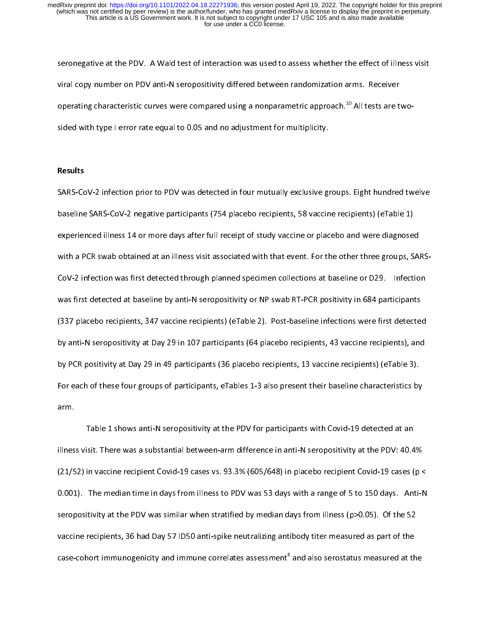seronegative at the PDV. A Wald test of interaction was used to assess whether the effect of illness visit viral copy number on PDV anti-N seropositivity differed between randomization arms. Receiver operating characteristic curves were compared using a nonparametric approach.<sup>48</sup> All tests are two-<br>sided with type I error rate equal to 0.05 and no adjustment for multiplicity.

### Results

SARS-CoV-2 infection prior to PDV was detected in four mutually exclusive groups. Eight hundred twelve baseline SARS-CoV-2 negative participants (754 placebo recipients, 58 vaccine recipients) (eTable 1) experienced illness 14 or more days after full receipt of study vaccine or placebo and were diagnosed  $C^2$  infection was first detected through planned specimen collections at baseline or  $D29.$  Infections at baseline or D29. In fections at baseline or D29. In fections at baseline or D29. In fections at  $D29.$ was first detected at baseline by anti-N september  $\mathcal{P}$  and  $\mathcal{P}$  are  $\mathcal{P}$  participations in  $\mathcal{P}$  $\mathcal{S}^{\mathcal{S}}$  placebo recipients, 347 vaccine infections were first detected infections were first detected infections were first detected in  $\mathcal{S}^{\mathcal{S}}$ by anti-N seropositivity at Day 29 in 107 participants (64 placebo recipients, 43 vaccine recipients), and by PCR positivity at Day 29 in 49 participants (36 placebo recipients, 13 vaccine recipients) (eTable 3). For each of these four groups of participants, eTables 1-3 also present their baseline characteristics by  $\ell$ 

Table 1 shows anti-N seropositivity at the PDV for participants with Covid-19 detected at an illness visit. There was a substantial between-arm difference in anti-N seropositivity at the PDV: 40.4%  $(2-7-7)$  in vaccine recipient Covid-19 cases vs. 93.3% (605/648) in placebo recipient Covid-19 cases (p  $(2-7-7)$ 0.001). The median time in days from illness to PDV was 53 days with a range of 5 to 150 days. Anti-N  $s$ seropositivity at the PDV was similar when stratified by median days from index (p-0.05). Of the 52 vaccine recipients, 36 had Day 57 ID50 anti-spike neutralizing antibody titer measured as part of the case-cohort immunogenicity and immune correlates assessment<sup>8</sup> and also serostatus measured at the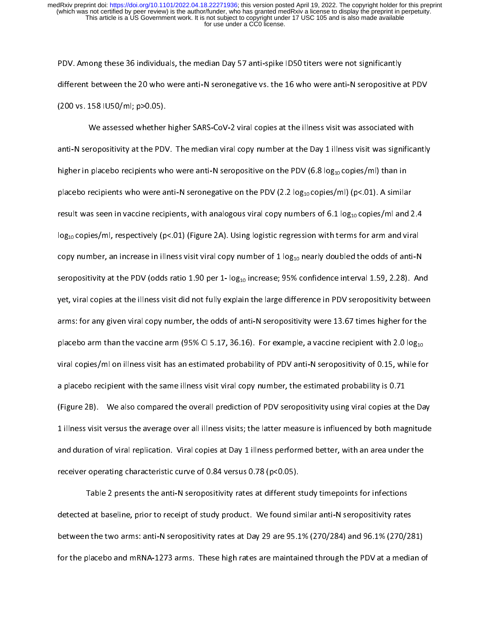$P$  is the median Day  $P$  individuals, the median Day 57 anti-spike ID50 title in the median Day  $P$ different between the 20 who were anti-N seronegative vs. the 16 who were anti-N seropositive at PDV  $(200 \times 150)$ . 158  $(200 \times 150)$ . p $(200 \times 150)$ .

We assessed whether higher SARS-CoV-2 viral copies at the illness viral constraints with anti-N seropositivity at the PDV. The median viral copy number at the Day 1 illness visit was significantly significantly was significantly significantly was significantly was significantly was significantly was significa higher in placebo recipients who were anti-N seropositive on the PDV (6.8 log10 copies/ml) than in placebo recipients who were anti-N seronegative on the PDV (2.2 log10 copies/ml) (p<.01). A similar result was seen in vaccine recipients, with analogous viral copy numbers of 6.1 log10 copies/ml and 2.4  $\mathcal{L}_{010}$  copies/ml, respectively (particle) (Figure 2A). Using logistic regression with terms for animality with  $\mathbf{r}$  is increase in illness visit viral copy number of  $\mathbf{r}$  and  $\mathbf{r}$  and  $\mathbf{r}$  and  $\mathbf{r}$  $\mathbf{r}$  at the PDV (odds ratio 1.90 per 1.90 per 1.90 per 1.59, 2.39). And 1.59, 2.39, 2.39, 2.28, 2.39, 2.28, 2.28, 2.28, 2.28, 2.28, 2.28, 2.28, 2.28, 2.28, 2.28, 2.28, 2.28, 2.28, 2.28, 2.28, 2.28, 2.28, 2.28, 2.28, 2 yet, viral copies at the illness visit did not fully explain the large difference in PDV seropositivity between arms: for any given viral copy number, the odds of anti-N seropositivity were 13.67 times higher for the placebo arm (95% Cinematic arm (95%). For example, a vaccine recipient with 2.0 log10. For example, a vaccine recipient with 2.0 log10. For example, a vaccine recipient with 2.0 log10. For example, a vaccine recipient with viral copies/ml on illness visit has an estimated probability of PDV anti-N seropositivity of 0.15, while for a placebo recipient with the same illness visit viral copy number, the estimated probability is  $0.71$ (Figure 2B). We also compared the overall prediction of PDV seropositivity using viral copies at the Day 1 illness visit versus the average over all illness visits; the latter measure is influenced by both magnitude and duration of viral replication. Viral copies at Day 1 illness performed better, with an area under the stat receiver operating characteristic curve of 0.84 versus  $($ p $-$ 0.05).

Table 2 presents the anti-N seropositivity rates at different study time  $\mathcal{L}$ detected at baseline, prior to receipt of study product. We found similar anti-N seropositivity rates between the two arms: anti-N seropositivity rates at Day 29 are 95.1% (270/284) and 96.1% (270/281) for the placebo and many  $\mathcal{L}$  are maintained through the PDV at a median of  $\mathcal{L}$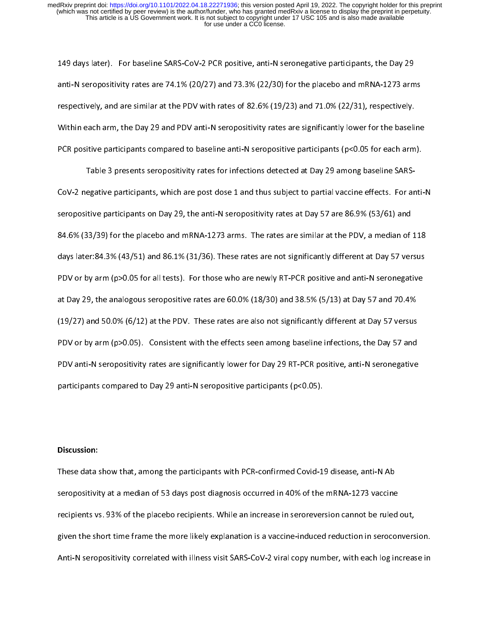149 days later). For baseline SARS-CoV-2 PCR positive, anti-N seronegative participants, the Day 29 anti-N seropositivity rates are 74.1% (20/27) and 73.3% (22/30) for the placebo and mRNA-1273 arms  $\mathcal{L}$ respectively, and are similar at the PDV with rates of 82.6% (19/23) and 71.0% (22/31), respectively. Within each arm, the Day 29 and PDV anti-N seropositivity rates are significantly lower for the baseline PCR positive participants compared to baseline anti-N seropositive participants (p<0.05 for each arm).

CoV-2 negative participants, which are post dose 1 and thus subject to partial vaccine effects. For anti-N seropositive participants on Day 29, the anti-N seropositivity rates at Day 57 are 86.9% (53/61) and  $84.6$  (33/39) for the placebo and mRNA-1273 arms. The rates are similar at the PDV, a median of 118 days later:84.3% (43/51) and 86.1% (31/36). These rates are not significantly different at Day 57 versus  $\mathcal{P}$  are newly RT-PCR positive and all tests in the newly RT-PCR positive and anti-N seronegative and anti-N seronegative and anti-N seronegative and anti-N seronegative and anti-N seronegative and anti-N seronegative at Day 29, the analogous seropositive rates are 60.0% (19/30) and 38.5% (19/30) at Day 57 and 70.4% (1977) and 50.0% (6/12) at the PDV. The PDV. The PDV. The PDV. The PDV. The PDV. The PDV. The PDV. The PDV. The PDV. The PDV. The PDV. The PDV. The PDV. The PDV. The PDV. The PDV. The PDV. The PDV. The PDV. The PDV. The P PDV or by arm (p>0.05). Consistent with the effects seen among baseline infections, the Day 57 and PDV anti-N seropositivity rates are significantly lower for Day 29 RT-PCR positive, anti-N seronegative participants compared to Day 29 anti-N seropositive participants (p<0.05).

# Discussion:

 $T_{\rm eff}$  and show that, among the participants with PCR-confirmed Covid-19 disease, and  $N_{\rm eff}$ seropositivity at a median of 53 days post diagnosis occurred in 40% of the mRNA-1273 vaccine recipients vs. 93% of the placebo recipients. While an increase in seroreversion cannot be ruled out, given the short time frame the more likely explanation is a vaccine-induced reduction in seroconversion.  $A = \frac{1}{\sqrt{N}}$  series visit SARS-Covering visit SARS-Covering increase increase increase increase increase increase increase increase increase increase increase increase increase increase increase increase increase increa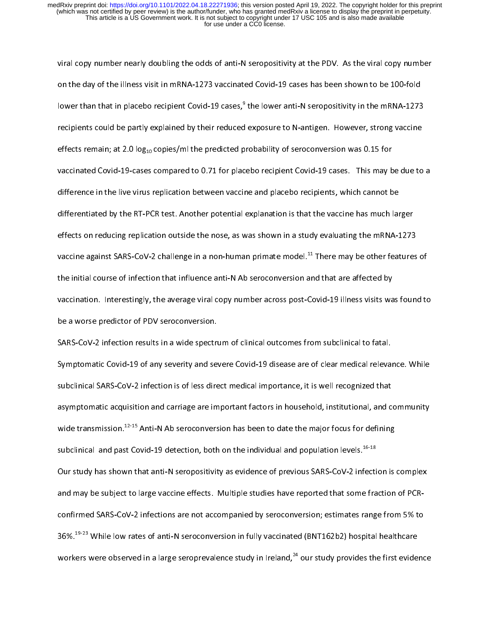viral copy number nearly doubling the odds of anti-N seropositivity at the PDV. As the viral copy number on the day of the illness visit in mRNA-1273 vaccinated Covid-19 cases has been shown to be 100-fold lower than that in placebo recipient Covid-19 cases,"<br>| the lower anti-N seropositivity in the mRNA-1273 recipients could be partly explained by their reduced exposure to N-antigen. However, strong vaccine effects remaining remaining  $\mathbf{r}$  , at 2.0 log10 copies/ml the probability of seroconversion was  $\mathbf{r}$ vaccinated Covid-19-cases compared to 0.71 for placebo recipient Covid-19 cases. This may be due to a difference in the live virus replication between vaccine and placebo recipients, which cannot be differentiated by the RT-PCR test. Another potential explanation is that the vaccine has much larger effects on reducing replication outside the nose, as was shown in a study evaluating the mRNA-1273 vaccine against SARS-CoV-2 challenge in a non-human primate model.<sup>44</sup> There may be other features of vacation o<br>L the initial course of influence anti-N  $\alpha$  and that are affected by a seroconversion and that are affected by vaccination. Interestingly, the average viral copy number across post-Covid-19 illness visits was found to be a worse predictor of PDV seroconversion.<br>SARS-CoV-2 infection results in a wide spectrum of clinical outcomes from subclinical to fatal.

 $S_{\rm 2.2}$  infection results in a wide spectrum of clinical outcomes from subclinical to fatal. The fataletic factal to fatal. Symptomatic Covid-19 of any severity and severe Covid-19 disease are of clear medical relevance. While subclinical SARS-CoV-2 infection is of less direct medical importance, it is well recognized that  $\mathcal{L}$ asymptomatic acquisition and carriage are important factors in household, institutional, and community wide transmission.<sup>42-15</sup> Anti-N Ab seroconversion has been to date the major focus for defining<br> subclinical and past Covid-19 detection, both on the individual and population levels.<sup>16-18</sup><br>Our study has shown that anti-N seropositivity as evidence of previous SARS-CoV-2 infection is complex Our study has shown that anti-N seropositivity as evidence of previous SARS-CoV-2 infection is complex communications are not accompanied by seroconversion; estimates range from 5% to 36%.<sup>19-23</sup> While low rates of anti-N seroconversion in fully vaccinated (BNT162b2) hospital healthcare workers were observed in a large seroprevalence study in Ireland, $^{24}$  our study provides the first evidence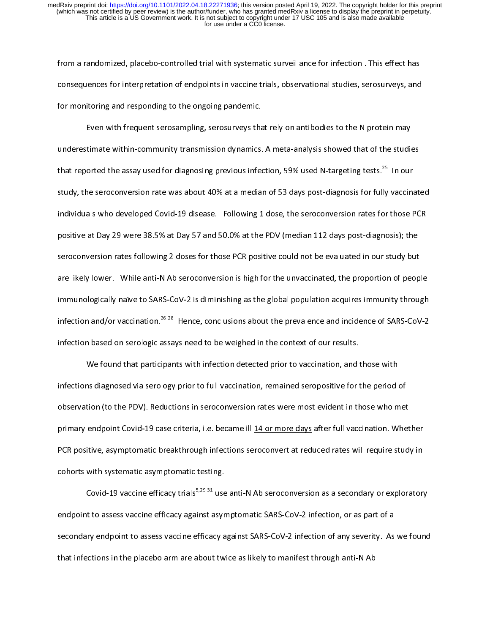from a randomized, placebo-controlled trial with systematic surveillance for infection . This effect has effect has effect has effect has effect on  $\mathcal{L}_1$ consequences for interpretation of endpoints in vaccine trials, observational studies, serosurveys, and for monitoring and responding to the ongoing pandemic.

Even with frequent serosampling, serosurveys that rely on antibodies to the N protein may underestimate with  $\alpha$  meta-analysis showed transmission dynamics. A meta-analysis showed that of the studies that reported the assay used for diagnosing previous infection, 59% used N-targeting tests.<sup>25</sup> In our study, the serious rate was about 40% at a median of  $\mathcal{L}$  median of  $\mathcal{L}$  for fully vacanted  $\mathcal{L}$ individuals who developed Covid-19 disease. Following 1 dose, the seroconversion rates for those PCR  $p$  sitive at Day 29 were 38.5% at Day 57 and 50.0% at the PDV (median 112 days post-diagnosis); the  $p$ seroconversion rates following 2 doses for those PCR positive could not be evaluated in our study but are likely lower. While anti-N Ab seroconversion is high for the unvaccinated, the people of people people peo immunologically naïve to SARS-CoV-2 is diminishing as the global population acquires immunity through infection and/or vaccination.<sup>26-28</sup> Hence, conclusions about the prevalence and incidence of SARS-CoV-2<br>infection based on serologic assays need to be weighed in the context of our results. infection based on serologic assays need to be weighed in the context of our results.

We found that participants with infection detected prior to vaccination, and those with  $\ddot{o}$  server via serology prior to full vaccination, remaining for the period of the period of the period of the period of the period of the period of the period of the period of the period of the period of the period o  $\alpha$  , the PDV). Reductions in series were most evident in the most evident in the most evident in the metric  $\alpha$ primary endpoint Covid-19 case criteria, i.e. became ill 14 or more days after full vaccination. When the covi<br>In 14 or more days after full vaccination. When the covid-14 or more days after full vaccination. When the cov PCR positive, asymptomatic breakthrough infections seroconvert at reduced rates will require study in cohorts with systematic asymptomatic testing.

Covid-19 vaccine efficacy trials<sup>5,29-31</sup> use anti-N Ab seroconversion as a secondary or exploratory<br>endpoint to assess vaccine efficacy against asymptomatic SARS-CoV-2 infection, or as part of a endpoint to assess vaccine efficacy against asymptomatic SARS-CoV-2 infection, or as part of a secondary endpoint to assess vaccine effective effective effective effective effective effective effective eff that infections in the placebo arm arm arm arm are about twice as likely twice as likely to manifest through an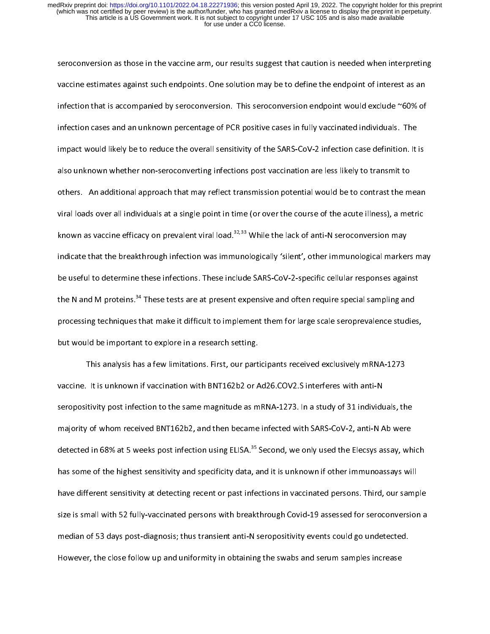seroconversion as those in the vaccine arm, our results suggest that caution is needed when interpreting vaccine estimates against such endpoints. One solution may be to define the endpoint of interest as an infection that is accompanied by seroconversion. This series would exclude  $\sim$  0.00% of  $\sim$ infection cases and an unknown percentage of PCR positive cases in fully vaccinated individuals. The impact would likely be to reduce the overall sensitivity of the SARS-CoV-2 infection case definition. It is in also unknown whether non-seroconverting infections post vaccination are less likely to transmit to others. An additional approach that may reflect transmission potential would be to contrast the mean  $\mathcal{L}$ viral loads over all individuals at a single point in time (or over the course of the acute illness), a metric known as vaccine efficacy on prevalent viral load.<sup>32,33</sup> While the lack of anti-N seroconversion may<br>indicate that the breakthrough infection was immunologically 'silent', other immunological markers may indicate that the breakthrough infection was immunologically 'silent', other immunological markers may be useful to determine these infections. These include SARS-CoV-2-specific cellular responses against the N and M proteins.<sup>34</sup> These tests are at present expensive and often require special sampling and processing techniques that make it difficult to implement them for large scale seroprevalence studies,<br>but would be important to explore in a research setting. but would be important to explore in a research setting.

 $T$  for a few limitations. First, our participants received exclusively matrix received  $\mathcal{L}_1$ seropositivity post infection to the same magnitude as mRNA-1273. In a study of 31 individuals, the majority of whom received BNT162b2, and then became infected with SARS-CoV-2, and SARS-CoV-2, and SARS-CoV-2, a detected in 68% at 5 weeks post infection using ELISA.35 Second, we only used the Elecsys assay, which has some of the highest sensitivity and specificity data, and it is unknown if other immunoassays will have different sensitivity at detecting recent or past infections in vaccinated persons. This is not past infections in vaccinated persons. This is not past in vaccinated persons. This is not pass in vaccinate or pass in v  $s$ size is small with  $52$  fully-vaccinated persons with breakthrough Covid-19 assessed for seroconversion assess median of 53 days post-diagnosis; thus transient anti-N seropositivity events could go undetected. However, the close follow up and uniformity in obtaining the swabs and serum samples increase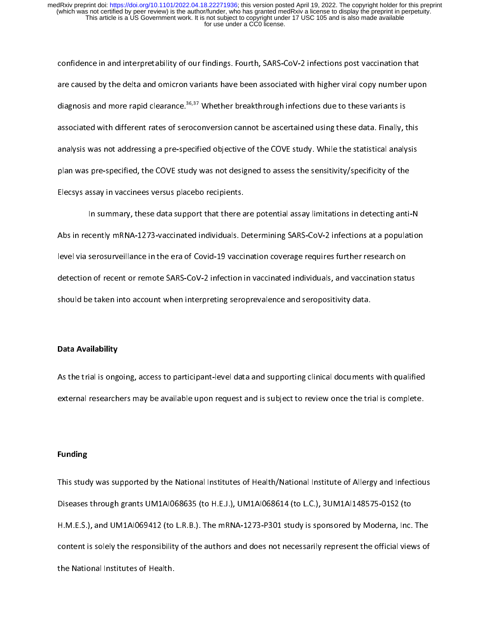confidence in and interpretability of our findings. Fourth, SARS-CoV-2 infections post vacanciers that are caused by the delta and omicron variants have been associated with higher viral copy number upon  $\alpha$ diagnosis and more rapid clearance.<sup>36,37</sup> Whether breakthrough infections due to these variants is diagnosis is<br>Little reakthrough in the search with the search in the search is the search in the search in the search is t associated with different rates of seroconversion cannot be associated using these data. Finally, this analysis was not addressing a pre-specified objective of the COVE study. While the statistical analysis plan was pre-specified, the COVE study was not designed to assess the sensitivity/specificity of the Elecsys assay in vaccinees versus placebo recipients.

 $\mathcal{I}$  in summary, these data support that there are potential assay limitations in detecting anti-N  $A$  absolute individuals. Determining  $A$  and  $A$  in  $A$  in  $A$  infections at a populations at a populations at a population level via serosurveillance in the era of Covid-19 vaccination coverage requires further research on detection of recent or remote SARS-CoV-2 infection in vaccinated individuals, and vaccination status should be taken into account when interpreting seroprevalence and seropositivity data.

# Data Availability

 $\mathcal{A}$  the trial is ongoing, and supporting clinical documents with  $\mathcal{A}$ external researchers may be available upon request and is subject to review once the trial is complete.

# Funding

 $T_{\rm max}$  was supported by the National Institutes of  $N_{\rm max}$  institute of Allergy and Infectious  $\mathcal{L}$  because the H.E. and UM1AI068635 (to L.C.), um  $\mathcal{H}_{\text{max}}$  and UM1AI0694412 (to Links), the main value  $\mathcal{H}_{\text{max}}$  is sponsored by Moderna, Inc. The main content is solely the responsibility of the authors and does not necessarily represent the official views of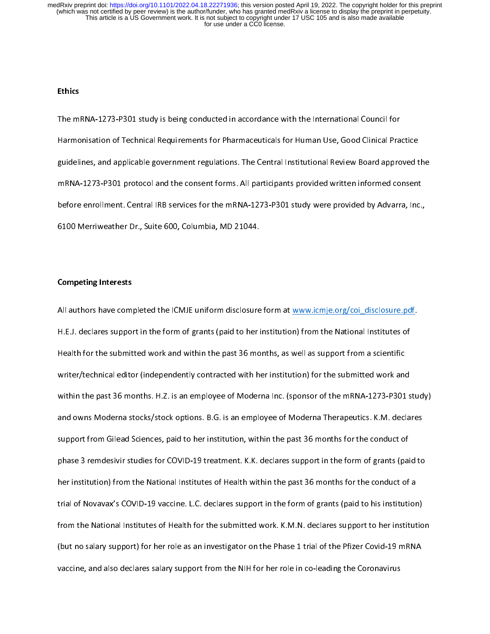### Ethics

 $T$  study is being conducted in accordance with the International Council  $\alpha$ Harmonisation of Technical Requirements for Pharmaceuticals for Human Use, Good Clinical Practice  $\mathcal{G}$  and applicable government regulations. The Central Institutions. The Central Review Board approved the Central Institutions. The Central Institution  $\mathcal{G}$ mRNA-1273-P301 protocol and the consent forms. All participants provided written informed consent before enrollment. Central IRB services for the many  $\mathcal{L}^2$  and  $\mathcal{L}^2$  study were provided by Advarrant, Inc., Inc., Inc., Inc., Inc., Inc., Inc., Inc., Inc., Inc., Inc., Inc., Inc., Inc., Inc., Inc., Inc., Inc., I 6100 Merriweather Dr., Suite 600, Columbia, MD 21044.

# Competing Interests

All authors have completed the ICMJE uniform disclosure form at  $\frac{1}{2}$  and  $\frac{1}{2}$  are  $\frac{1}{2}$  and  $\frac{1}{2}$  and  $\mathbf{H}$ . Declares support in the form of grants (paid to her institution) from the National Institutes of grants (paid to her institutes of  $\mathbf{H}$ Health for the submitted work and within the past 36 months, as well as support from a scientific writer/technical editor (independently contracted with her institution) for the submitted with her  $\frac{1}{n}$ within the past 36 months. H.Z. is an employee of Moderna Inc. (sponsor of the mRNA-1273-P301 study)<br>and owns Moderna stocks/stock options. B.G. is an employee of Moderna Therapeutics. K.M. declares and owns Moderna stocks, stock options. B.G. is an employee of Moderna Therapeutics. K.M. declares  $\mathcal{L}(\mathcal{A})$ support from Gilead Sciences, paid to her institution, with the past 36 months for the past 36 months for the conduct of the conduct of the past 36 months for the conduct of the conduct of the conduct of the conduct of the phase 3 remdesivir studies for COVID-19 treatment. K.K. declares support in the form of grants (paid to grants (paid to grants (paid to grants (paid to grants (paid to grants (paid to grants (paid to grants (paid to grants her institution) from the National Institutes of Health within the past 36 months for the conduct of a  $\frac{1}{\sqrt{1-\frac{1}{\sqrt{1-\frac{1}{\sqrt{1-\frac{1}{\sqrt{1-\frac{1}{\sqrt{1-\frac{1}{\sqrt{1-\frac{1}{\sqrt{1-\frac{1}{\sqrt{1-\frac{1}{\sqrt{1-\frac{1}{\sqrt{1-\frac{1}{\sqrt{1-\frac{1}{\sqrt{1-\frac{1}{\sqrt{1-\frac{1}{\sqrt{1-\frac{1}{\sqrt{1-\frac{1}{\sqrt{1-\frac{1}{\sqrt{1-\frac{1}{\sqrt{1-\frac{1}{\sqrt{1-\frac{1}{\sqrt{1-\frac{1}{\sqrt{1-\frac{1}{\sqrt{1-\frac{1}{\sqrt{1-\frac{1}{\sqrt{1-\frac{1$ from the National Institutes of Health for the submitted work. K.M.N. declares support to her institution (but no salary support) for her role as an investigator on the Pfizer Covid-19 mRNA  $\sim$ vaccine, and also declares salary support from the NIH for her role in co-leading the Coronavirus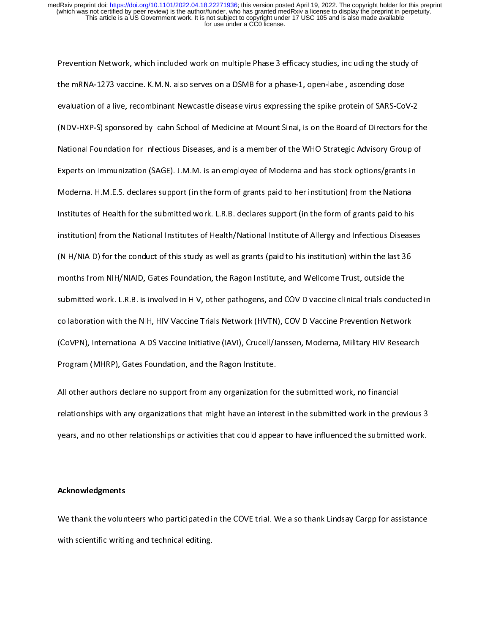Prevention Network, which included work on multiple Phase 3 efficacy studies, including the study of  $\frac{1}{\sqrt{N}}$  vacantie. K.M.N. also serves on a DSMB for a phase-1, open-label, as centred on a phase-1, open-label, as evaluation of a live, recombinant Newcastle disease virus expressing the spike protein of SARS-CoV-2  $\mathcal{N}$  sponsored by Icahn School of Medicine at Mount Sinai, is on the Board of Directors for the  $\mathcal{N}$ National Foundation for Infectious Diseases, and is a member of the WHO Strategic Advisory Group of Experts on Immunization (SAGE). J.M.M. is an employee of Moderna and has stock options/grants in  $M_{\rm E}$  declares support (in the form of grants paid to her institution) from the National to her institution  $\mathcal{I}$  institutes of Health for the submitted work. Let  $\mathcal{I}$  declares  $\mathcal{I}$  and  $\mathcal{I}$  and  $\mathcal{I}$  and  $\mathcal{I}$  and  $\mathcal{I}$  and  $\mathcal{I}$  and  $\mathcal{I}$  and  $\mathcal{I}$  and  $\mathcal{I}$  and  $\mathcal{I}$  and  $\mathcal{I}$  and  $\$ institution) from the National Institutes of  $\mathcal{N}_{\text{max}}$  and  $\mathcal{N}_{\text{max}}$  and  $\mathcal{N}_{\text{max}}$ (NIH/NIA) for the conduct of this study as well as well as  $\frac{1}{\sqrt{2}}$  to his institution) within the last 366  $\frac{1}{\sqrt{2}}$ months from NIH/NIAID, Gates Foundation, the Ragon Institute, and Wellcome Trust, outside the submitted work. L.R.B. is involved in HIV, other pathogens, and COVID vaccine clinical trials conducted in collaboration with the NIH, HIV Vaccine Trials Network (HVTN), COVID Vaccine Prevention Network<br>(CoVPN), International AIDS Vaccine Initiative (IAVI), Crucell/Janssen, Moderna, Military HIV Research)  $\mathcal{C}^{\mathcal{D}}$ Program (MHRP), Gates Foundation, and the Ragon Institute.

 $A = \frac{1}{\sqrt{2}}$  organization for the support from any organization for the submitted work, no financial  $\frac{1}{\sqrt{2}}$ relationships with any organizations that might have an interest in the submitted work in the previous 3 years, and no other relationships or activities that could appear to have influenced the submitted work.

# Acknowledgments

We thank the volunteers who participated in the COVE trial. We also thank Lindsay Carpp for assistance with scientific writing and technical editing.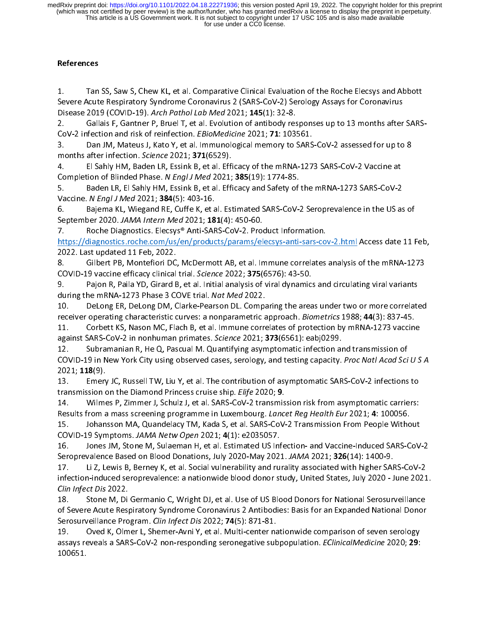# References

1. Tan SS, Saw S, Chew KL, et al. Comparative Clinical Evaluation of the Roche Elecsys and Abbott<br>Severe Acute Respiratory Syndrome Coronavirus 2 (SARS-CoV-2) Serology Assays for Coronavirus  $1<sup>1</sup>$ 

Disease 2019 (COVID-19). Arch Pathol Lab Med 2021; 145(1): 32-8.<br>2. Gallais F, Gantner P, Bruel T, et al. Evolution of antibody res Gallais F, Gantner P, Bruel T, et al. Evolution of antibody responses up to 13 months after SARS-CoV-2 infection and risk of reinfection. EBioMedicine 2021; 71: 103561.

3. Dan JM, Mateus J, Kato Y, et al. Immunological memory to SARS-CoV-2 assessed for up to 8 months after infection. Science 2021; 371(6529).

4. El Sahly HM, Baden LR, Essink B, et al. Efficacy of the mRNA-1273 SARS-CoV-2 Vaccine at Completion of Blinded Phase. N Engl J Med 2021; 385(19): 1774-85.

5. Baden LR, El Sahly HM, Essink B, et al. Efficacy and Safety of the mRNA-1273 SARS-CoV-2 Vaccine. N Engl J Med 2021; 384(5): 403-16.

6. Bajema KL, Wiegand RE, Cuffe K, et al. Estimated SARS-CoV-2 Seroprevalence in the US as of September 2020. JAMA Intern Med 2021; 181(4): 450-60.

7. Roche Diagnostics. Elecsys® Anti-SARS-CoV-2. Product Information.

https://diagnostics.roche.com/us/en/products/params/elecsys-anti-sars-cov-2.html Access date 11 Feb, 2022. Last updated 11 Feb, 2022.

8. Gilbert PB, Montefiori DC, McDermott AB, et al. Immune correlates analysis of the mRNA-1273 6. GOVID-19 vaccine efficacy clinical trial. Science 2022; 375(6576): 43-50.

9. Pajon R, Paila YD, Girard B, et al. Initial analysis of viral dynamics and circulating viral variants during the mRNA-1273 Phase 3 COVE trial. Nat Med 2022.

10. DeLong ER, DeLong DM, Clarke-Pearson DL. Comparing the areas under two or more correlated receiver operating characteristic curves: a nonparametric approach. Biometrics 1988; 44(3): 837-45.

11. Corbett KS, Nason MC, Flach B, et al. Immune correlates of protection by mRNA-1273 vaccine against SARS-CoV-2 in nonhuman primates. Science 2021; 373(6561): eabj0299.

12. Subramanian R, He Q, Pascual M. Quantifying asymptomatic infection and transmission of COVID-19 in New York City using observed cases, serology, and testing capacity. Proc Natl Acad Sci COVID-19 in New York City using observed cases, serology, and testing capacity. Proc Natl Acad Sci U S A

2021; 118(9).<br>13. Emery JC, Russell TW, Liu Y, et al. The contribution of asymptomatic SARS-CoV-2 infections to transmission on the Diamond Princess cruise ship. Elife 2020; 9.

14. Wilmes P, Zimmer J, Schulz J, et al. SARS-CoV-2 transmission risk from asymptomatic carriers: Results from a mass screening programme in Luxembourg. Lancet Reg Health Eur 2021; 4: 100056. 15. Johansson MA, Quandelacy TM, Kada S, et al. SARS-CoV-2 Transmission From People Without

COVID-19 Symptoms. JAMA Netw Open 2021; 4(1): e2035057.

16. Jones JM, Stone M, Sulaeman H, et al. Estimated US Infection- and Vaccine-Induced SARS-CoV-2 Seroprevalence Based on Blood Donations, July 2020-May 2021. JAMA 2021; 326(14): 1400-9.

17. Li Z, Lewis B, Berney K, et al. Social vulnerability and rurality associated with higher SARS-CoV-2 infection-induced seroprevalence: a nationwide blood donor study, United States, July 2020 - June 2021. Clin Infect Dis 2022.

18. Stone M, Di Germanio C, Wright DJ, et al. Use of US Blood Donors for National Serosurveillance of Severe Acute Respiratory Syndrome Coronavirus 2 Antibodies: Basis for an Expanded National Donor Serosurveillance Program. Clin Infect Dis 2022; 74(5): 871-81.

19. Oved K, Olmer L, Shemer-Avni Y, et al. Multi-center nationwide comparison of seven serology 19. Over Lewis, Shemer-Aviation Collman Comparison of the material comparison of seven serong, processes as SARS-CoV-2 non-responding seronegative subpopulation. *EClinicalMedicine* 2020; 29: assays reveals a SARS-CoV-2 non-responding seronegative subpopulation. *EClinicalMedicine 2020; 29:*<br>100651.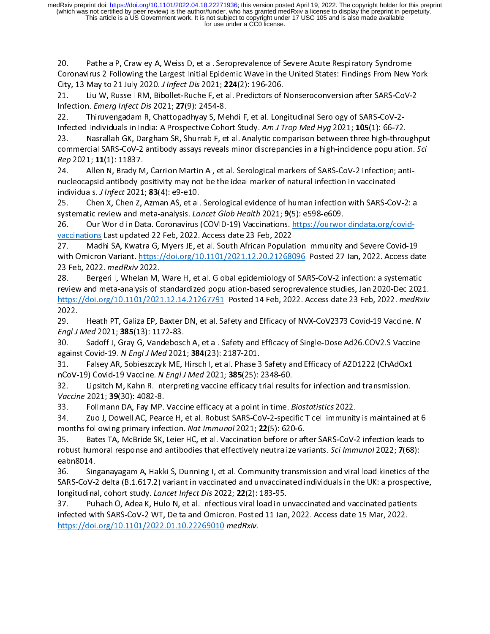20. Pathela P, Crawley A, Weiss D, et al. Seroprevalence of Severe Acute Respiratory Syndrome<br>Coronavirus 2 Following the Largest Initial Epidemic Wave in the United States: Findings From New York City, 13 May to 21 July 2020. J Infect Dis 2021; 224(2): 196-206.

21. Liu W, Russell RM, Bibollet-Ruche F, et al. Predictors of Nonseroconversion after SARS-CoV-2 Infection. Emerg Infect Dis 2021; 27(9): 2454-8.

22. Thiruvengadam R, Chattopadhyay S, Mehdi F, et al. Longitudinal Serology of SARS-CoV-2-Infected Individuals in India: A Prospective Cohort Study. Am J Trop Med Hyg 2021; 105(1): 66-72.<br>23. Nasrallah GK, Dargham SR, Shurrab F, et al. Analytic comparison between three high-thror

Nasrallah GK, Dargham SR, Shurrab F, et al. Analytic comparison between three high-throughput  $\overline{\text{a}}$  commercial SARS-CoV-2 antibody assays reveals minor discrepancies in a high-incidence population. Sci commercial SARS-CoV-2 antibody assays reveals minor discrepancies in a high-incidence population. Scr<br>Rep 2021; 11(1): 11837. Rep 2021; 11(1): 11837.<br>24. Allen N, Brady M, Carrion Martin AI, et al. Serological markers of SARS-CoV-2 infection; anti-

nucleocapsid antibody positivity may not be the ideal marker of natural infection in vaccinated individuals.  $J$  Infect 2021; 83(4): e9-e10.

25. Chen X, Chen Z, Azman AS, et al. Serological evidence of human infection with SARS-CoV-2: a systematic review and meta-analysis. Lancet Glob Health 2021; 9(5): e598-e609.<br>26. Our World in Data. Coronavirus (COVID-19) Vaccinations. https://ourwor

Our World in Data. Coronavirus (COVID-19) Vaccinations. https://ourworldindata.org/covidvaccinations Last updated 22 Feb, 2022. Access date 23 Feb, 2022<br>27. Madhi SA, Kwatra G, Myers JE, et al. South African Populat

Madhi SA, Kwatra G, Myers JE, et al. South African Population Immunity and Severe Covid-19 with Omicron Variant. https://doi.org/10.1101/2021.12.20.21268096 Posted 27 Jan, 2022. Access date

23 Feb, 2022. med Rxiv 2022.<br>28. Bergeri I, Whelan M, Bergeri I, Whelan M, Ware H, et al. Global epidemiology of SARS-CoV-2 infection: a systematic review and meta-analysis of standardized population-based seroprevalence studies, Jan 2020-Dec 2021.  $\frac{https://doi.org/10.1101/2021.12.14.21267791}{https://doi.org/10.1101/2021.12.14.21267791}$  Posted 14 Feb, 2022. Access date 23 Feb, 2022. medRxiv https://doi.org/10.1101/2021.12.14.21267791 Posted 14 Feb, 2022. Access date 23 Feb, 2022. *medRxiv*<br>2022.

2022. 29. Heath PT, Galiza EP, Baxter DN, et al. Safety and Efficacy of NVX-CoV2373 Covid-19 Vaccine. N<br>Engl J Med 2021; 385(13): 1172-83.

30. Sadoff J, Gray G, Vandebosch A, et al. Safety and Efficacy of Single-Dose Ad26.COV2.S Vaccine against Covid-19. N Engl J Med 2021; 384(23): 2187-201.

31. Falsey AR, Sobieszczyk ME, Hirsch I, et al. Phase 3 Safety and Efficacy of AZD1222 (ChAdOx1 nCoV-19) Covid-19 Vaccine. N Engl J Med 2021; 385(25): 2348-60.

32. Lipsitch M, Kahn R. Interpreting vaccine efficacy trial results for infection and transmission. Vaccine 2021; 39(30): 4082-8.

33. Follmann DA, Fay MP. Vaccine efficacy at a point in time. Biostatistics 2022.

34. Zuo J, Dowell AC, Pearce H, et al. Robust SARS-CoV-2-specific T cell immunity is maintained at 6 months following primary infection. Nat Immunol 2021; 22(5): 620-6.

35. Bates TA, McBride SK, Leier HC, et al. Vaccination before or after SARS-CoV-2 infection leads to robust humoral response and antibodies that effectively neutralize variants. *Sci Immunol* 2022; **7**(68): robust humoral response and antibodies that effectively neutralize variants. Sci *immunol* 2022; 7(68):<br>eabn8014.

36. Singanayagam A, Hakki S, Dunning J, et al. Community transmission and viral load kinetics of the SARS-CoV-2 delta (B.1.617.2) variant in vaccinated and unvaccinated individuals in the UK: a prospective, longitudinal, cohort study. Lancet Infect Dis 2022; 22(2): 183-95.

37. Puhach O, Adea K, Hulo N, et al. Infectious viral load in unvaccinated and vaccinated patients infected with SARS-CoV-2 WT, Delta and Omicron. Posted 11 Jan, 2022. Access date 15 Mar, 2022. infected with SARS-Cover with SARS-Cover and Omicron. Posted 11 Jan, 2022. Access date 12 Mar, 2022. 11 Jan, 20<br>https://doi.org/10.1101/2022.01.10.22269010 medRxiv. https://doi.org/10.1101/2022.01.10.22269010 medRxiv.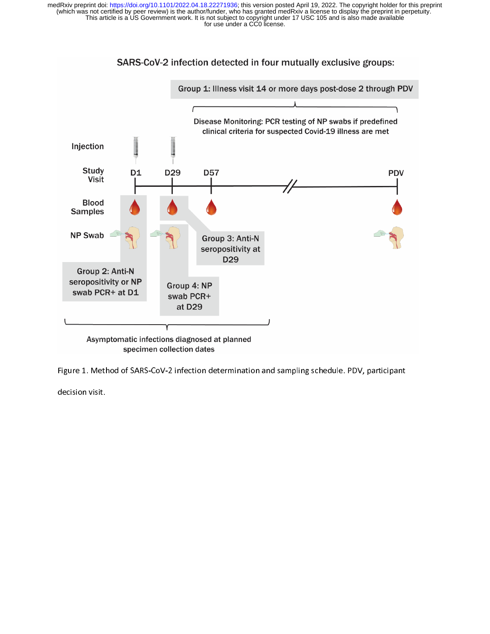

Figure 1. Method of SARS-CoV-2 infection determination and sampling schedule. PDV, participant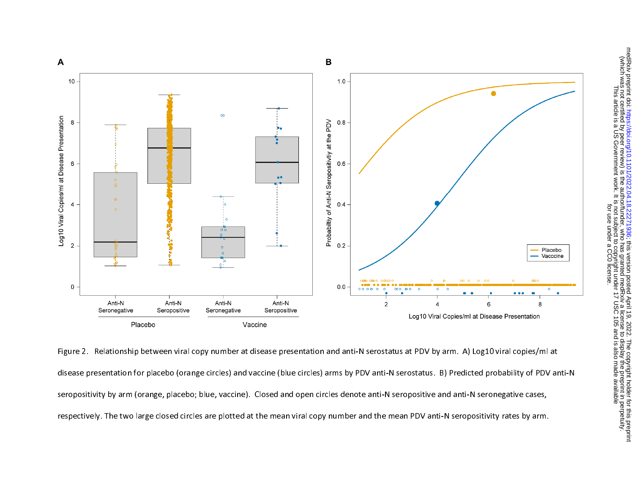

Figure 2. Relationship between viral copy number at disease presentation and anti-N serostatus at PDV by arm. A) Log10 viral copies/ml at disease presentation for placebo (orange circles) and vaccine (blue circles) arms by PDV anti-N serostatus. B) Predicted probability of PDV anti-N seropositivity by arm (orange, placebo; blue, vaccine). Closed and open circles denote anti-N seropositive and anti-N seronegative cases, respectively. The two large closed circles are plotted at the mean viral copy number and the mean PDV anti-N seropositivity rates by arm.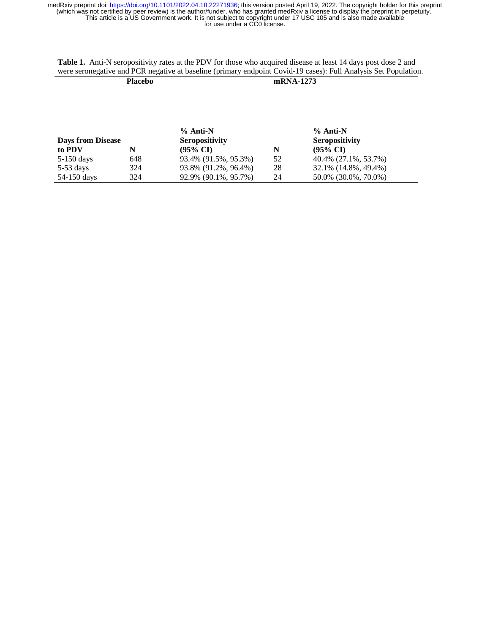**Table 1.** Anti-N seropositivity rates at the PDV for those who acquired disease at least 14 days post dose 2 and were seronegative and PCR negative at baseline (primary endpoint Covid-19 cases): Full Analysis Set Population.

**Placebo mRNA-1273** 

| <b>Days from Disease</b> |     | $%$ Anti-N<br><b>Seropositivity</b> |    | $%$ Anti-N<br><b>Seropositivity</b> |
|--------------------------|-----|-------------------------------------|----|-------------------------------------|
| to PDV                   | N   | $(95\% \text{ CI})$                 | N  | $(95\% \text{ CI})$                 |
| 5-150 days               | 648 | 93.4% (91.5%, 95.3%)                | 52 | 40.4% (27.1%, 53.7%)                |
| $5-53$ days              | 324 | 93.8% (91.2%, 96.4%)                | 28 | 32.1% (14.8%, 49.4%)                |
| 54-150 days              | 324 | 92.9% (90.1%, 95.7%)                | 24 | 50.0% (30.0%, 70.0%)                |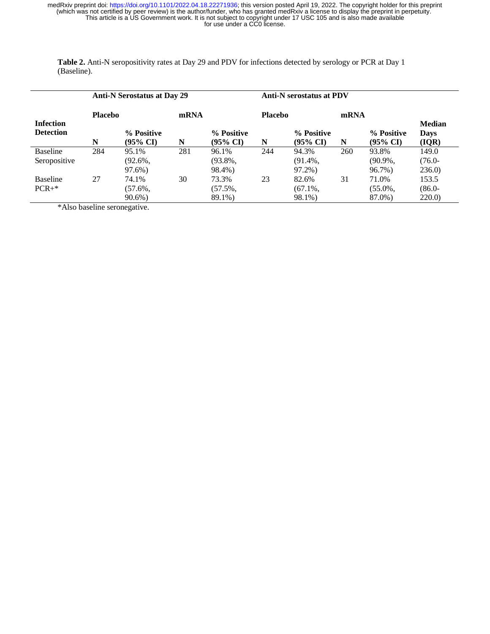**Table 2.** Anti-N seropositivity rates at Day 29 and PDV for infections detected by serology or PCR at Day 1 (Baseline).

|                                      |                | <b>Anti-N Serostatus at Day 29</b> |      |                                   | <b>Anti-N</b> serostatus at PDV |                                   |      |                                   |                                |
|--------------------------------------|----------------|------------------------------------|------|-----------------------------------|---------------------------------|-----------------------------------|------|-----------------------------------|--------------------------------|
|                                      | <b>Placebo</b> |                                    | mRNA |                                   | <b>Placebo</b>                  |                                   | mRNA |                                   |                                |
| <b>Infection</b><br><b>Detection</b> | N              | % Positive<br>$(95\% \text{ CI})$  | N    | % Positive<br>$(95\% \text{ CI})$ | N                               | % Positive<br>$(95\% \text{ CI})$ | N    | % Positive<br>$(95\% \text{ CI})$ | <b>Median</b><br>Days<br>(IQR) |
| Baseline<br>Seropositive             | 284            | 95.1%<br>$(92.6\%$<br>97.6%)       | 281  | 96.1%<br>$(93.8\%,$<br>98.4%)     | 244                             | 94.3%<br>$(91.4\%$<br>97.2%)      | 260  | 93.8%<br>$(90.9\%$ ,<br>96.7%)    | 149.0<br>$(76.0 -$<br>236.0    |
| <b>Baseline</b><br>$PCR+*$           | 27             | 74.1%<br>$(57.6\%$<br>$90.6\%$     | 30   | 73.3%<br>$(57.5\%,$<br>89.1%)     | 23                              | 82.6%<br>$(67.1\%$<br>98.1%)      | 31   | 71.0%<br>$(55.0\%$<br>87.0%)      | 153.5<br>$(86.0 -$<br>220.0    |

\*Also baseline seronegative.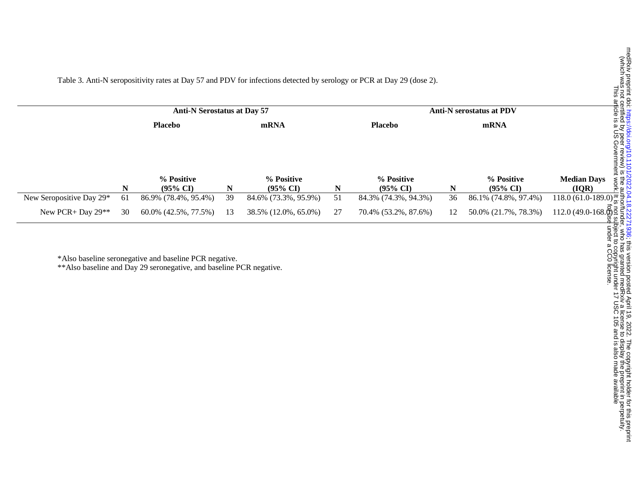Table 3. Anti-N seropositivity rates at Day 57 and PDV for infections detected by serology or PCR at Day 29 (dose 2).

|                          | <b>Anti-N Serostatus at Day 57</b> |                      |    |                        |    | <b>Anti-N serostatus at PDV</b> | uelulleu<br>article is |                      |                                                                      |
|--------------------------|------------------------------------|----------------------|----|------------------------|----|---------------------------------|------------------------|----------------------|----------------------------------------------------------------------|
|                          | <b>Placebo</b><br>mRNA             |                      |    | <b>Placebo</b><br>mRNA |    |                                 |                        |                      |                                                                      |
|                          |                                    |                      |    |                        |    |                                 |                        |                      | ay lus<br>arl                                                        |
|                          |                                    |                      |    |                        |    |                                 |                        |                      |                                                                      |
|                          |                                    |                      |    |                        |    |                                 |                        |                      | el levew) is<br>Government                                           |
|                          |                                    | % Positive           |    | % Positive             |    | % Positive                      |                        | % Positive           | <b>Median Days</b><br>$\frac{5}{6}$                                  |
|                          | N                                  | $(95\% \text{ CI})$  | N  | $(95\% \text{ CI})$    | N  | $(95\% \text{ CI})$             | N                      | $(95\% \text{ CI})$  | (IOR)<br>ۄٚڿ                                                         |
| New Seropositive Day 29* | 61                                 | 86.9% (78.4%, 95.4%) | 39 | 84.6% (73.3%, 95.9%)   | 51 | 84.3% (74.3%, 94.3%)            | 36                     | 86.1% (74.8%, 97.4%) | $118.0(61.0-189.0)\frac{1}{\omega}\frac{1}{2}$                       |
| New PCR+ Day $29**$      | 30                                 | 60.0% (42.5%, 77.5%) | 13 | 38.5% (12.0%, 65.0%)   | 27 | 70.4% (53.2%, 87.6%)            | 12                     | 50.0% (21.7%, 78.3%) | $112.0(49.0-168.\overset{\circ}{\oplus})\overset{2}{\leq}$<br>ء ۵۵ آ |

\*Also baseline seronegative and baseline PCR negative.

\*\*Also baseline and Day 29 seronegative, and baseline PCR negative.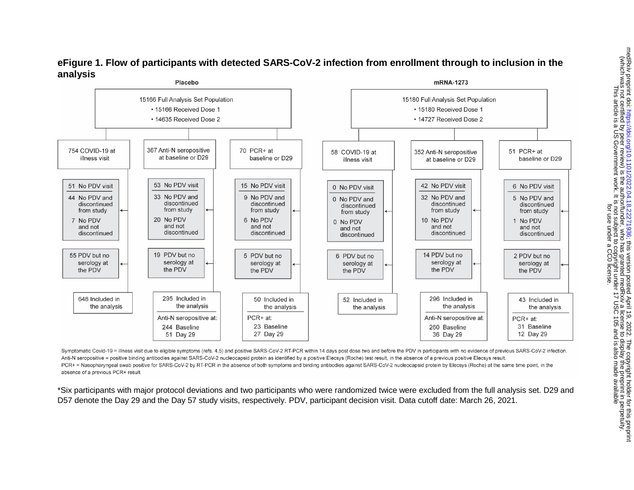

# **eFigure 1. Flow of participants with detected SARS-CoV-2 infection from enrollment through to inclusion in the analysis**

Symptomatic Covid-19 = illness visit due to eligible symptoms (refs. 4.5) and positive SARS-CoV-2 RT-PCR within 14 days post dose two and before the PDV in participants with no evidence of previous SARS-CoV-2 infection. Anti-N seropositive = positive binding antibodies against SARS-CoV-2 nucleocapsid protein as identified by a positive Elecsys (Roche) test result, in the absence of a previous positive Elecsys result. PCR+ = Nasopharyngeal swab positive for SARS-CoV-2 by RT-PCR in the absence of both symptoms and binding antibodies against SARS-CoV-2 nucleocapsid protein by Elecsys (Roche) at the same time point, in the absence of a previous PCR+ result.

\*Six participants with major protocol deviations and two participants who were randomized twice were excluded from the full analysis set. D29 and D57 denote the Day 29 and the Day 57 study visits, respectively. PDV, participant decision visit. Data cutoff date: March 26, 2021.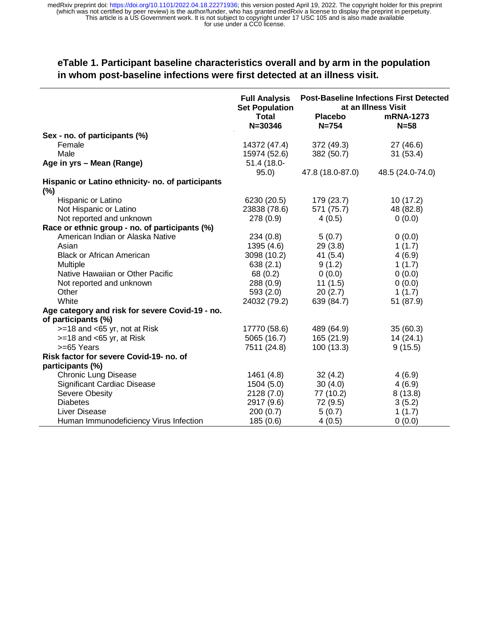# **eTable 1. Participant baseline characteristics overall and by arm in the population in whom post-baseline infections were first detected at an illness visit.**

|                                                                        | <b>Full Analysis</b><br><b>Set Population</b><br><b>Total</b><br>$N = 30346$ | <b>Post-Baseline Infections First Detected</b><br>at an Illness Visit<br><b>Placebo</b><br>mRNA-1273<br>$N = 754$<br>$N = 58$ |                  |  |
|------------------------------------------------------------------------|------------------------------------------------------------------------------|-------------------------------------------------------------------------------------------------------------------------------|------------------|--|
| Sex - no. of participants (%)                                          |                                                                              |                                                                                                                               |                  |  |
| Female                                                                 | 14372 (47.4)                                                                 | 372 (49.3)                                                                                                                    | 27 (46.6)        |  |
| Male                                                                   | 15974 (52.6)                                                                 | 382 (50.7)                                                                                                                    | 31(53.4)         |  |
| Age in yrs - Mean (Range)                                              | 51.4 (18.0-                                                                  |                                                                                                                               |                  |  |
|                                                                        | 95.0                                                                         | 47.8 (18.0-87.0)                                                                                                              | 48.5 (24.0-74.0) |  |
| Hispanic or Latino ethnicity- no. of participants<br>(%)               |                                                                              |                                                                                                                               |                  |  |
| Hispanic or Latino                                                     | 6230 (20.5)                                                                  | 179 (23.7)                                                                                                                    | 10(17.2)         |  |
| Not Hispanic or Latino                                                 | 23838 (78.6)                                                                 | 571 (75.7)                                                                                                                    | 48 (82.8)        |  |
| Not reported and unknown                                               | 278 (0.9)                                                                    | 4(0.5)                                                                                                                        | 0(0.0)           |  |
| Race or ethnic group - no. of participants (%)                         |                                                                              |                                                                                                                               |                  |  |
| American Indian or Alaska Native                                       | 234(0.8)                                                                     | 5(0.7)                                                                                                                        | 0(0.0)           |  |
| Asian                                                                  | 1395 (4.6)                                                                   | 29(3.8)                                                                                                                       | 1(1.7)           |  |
| <b>Black or African American</b>                                       | 3098 (10.2)                                                                  | 41(5.4)                                                                                                                       | 4(6.9)           |  |
| Multiple                                                               | 638(2.1)                                                                     | 9(1.2)                                                                                                                        | 1(1.7)           |  |
| Native Hawaiian or Other Pacific                                       | 68 (0.2)                                                                     | 0(0.0)                                                                                                                        | 0(0.0)           |  |
| Not reported and unknown                                               | 288(0.9)                                                                     | 11(1.5)                                                                                                                       | 0(0.0)           |  |
| Other                                                                  | 593 (2.0)                                                                    | 20(2.7)                                                                                                                       | 1(1.7)           |  |
| White                                                                  | 24032 (79.2)                                                                 | 639 (84.7)                                                                                                                    | 51 (87.9)        |  |
| Age category and risk for severe Covid-19 - no.<br>of participants (%) |                                                                              |                                                                                                                               |                  |  |
| $>=$ 18 and <65 yr, not at Risk                                        | 17770 (58.6)                                                                 | 489 (64.9)                                                                                                                    | 35(60.3)         |  |
| $>=$ 18 and $<$ 65 yr, at Risk                                         | 5065 (16.7)                                                                  | 165(21.9)                                                                                                                     | 14(24.1)         |  |
| >=65 Years                                                             | 7511 (24.8)                                                                  | 100(13.3)                                                                                                                     | 9(15.5)          |  |
| Risk factor for severe Covid-19- no. of<br>participants (%)            |                                                                              |                                                                                                                               |                  |  |
| <b>Chronic Lung Disease</b>                                            | 1461 (4.8)                                                                   | 32(4.2)                                                                                                                       | 4(6.9)           |  |
| <b>Significant Cardiac Disease</b>                                     | 1504(5.0)                                                                    | 30(4.0)                                                                                                                       | 4(6.9)           |  |
| Severe Obesity                                                         | 2128 (7.0)                                                                   | 77 (10.2)                                                                                                                     | 8(13.8)          |  |
| <b>Diabetes</b>                                                        | 2917 (9.6)                                                                   | 72 (9.5)                                                                                                                      | 3(5.2)           |  |
| Liver Disease                                                          | 200(0.7)                                                                     | 5(0.7)                                                                                                                        | 1(1.7)           |  |
| Human Immunodeficiency Virus Infection                                 | 185(0.6)                                                                     | 4(0.5)                                                                                                                        | 0(0.0)           |  |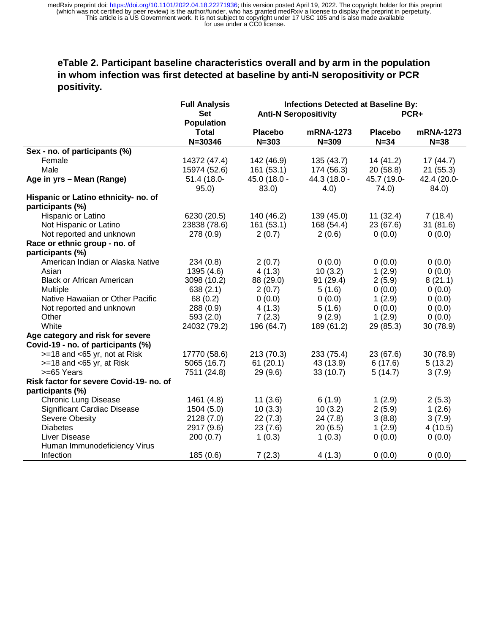# **eTable 2. Participant baseline characteristics overall and by arm in the population in whom infection was first detected at baseline by anti-N seropositivity or PCR positivity.**

|                                                          | <b>Full Analysis</b><br><b>Set</b><br><b>Population</b> |                             | <b>Infections Detected at Baseline By:</b><br><b>Anti-N Seropositivity</b> | PCR+                       |                       |  |
|----------------------------------------------------------|---------------------------------------------------------|-----------------------------|----------------------------------------------------------------------------|----------------------------|-----------------------|--|
|                                                          | <b>Total</b><br>$N = 30346$                             | <b>Placebo</b><br>$N = 303$ | mRNA-1273<br>$N = 309$                                                     | <b>Placebo</b><br>$N = 34$ | mRNA-1273<br>$N = 38$ |  |
| Sex - no. of participants (%)                            |                                                         |                             |                                                                            |                            |                       |  |
| Female                                                   | 14372 (47.4)                                            | 142 (46.9)                  | 135(43.7)                                                                  | 14 (41.2)                  | 17(44.7)              |  |
| Male                                                     | 15974 (52.6)                                            | 161(53.1)                   | 174 (56.3)                                                                 | 20 (58.8)                  | 21(55.3)              |  |
| Age in yrs - Mean (Range)                                | 51.4 (18.0-<br>95.0)                                    | 45.0 (18.0 -<br>83.0)       | 44.3 (18.0 -<br>(4.0)                                                      | 45.7 (19.0-<br>74.0)       | 42.4 (20.0-<br>84.0)  |  |
| Hispanic or Latino ethnicity- no. of<br>participants (%) |                                                         |                             |                                                                            |                            |                       |  |
| Hispanic or Latino                                       | 6230 (20.5)                                             | 140 (46.2)                  | 139 (45.0)                                                                 | 11(32.4)                   | 7(18.4)               |  |
| Not Hispanic or Latino                                   | 23838 (78.6)                                            | 161(53.1)                   | 168 (54.4)                                                                 | 23 (67.6)                  | 31(81.6)              |  |
| Not reported and unknown                                 | 278 (0.9)                                               | 2(0.7)                      | 2(0.6)                                                                     | 0(0.0)                     | 0(0.0)                |  |
| Race or ethnic group - no. of                            |                                                         |                             |                                                                            |                            |                       |  |
| participants (%)                                         |                                                         |                             |                                                                            |                            |                       |  |
| American Indian or Alaska Native                         | 234(0.8)                                                | 2(0.7)                      | 0(0.0)                                                                     | 0(0.0)                     | 0(0.0)                |  |
| Asian                                                    | 1395 (4.6)                                              | 4(1.3)                      | 10(3.2)                                                                    | 1(2.9)                     | 0(0.0)                |  |
| <b>Black or African American</b>                         | 3098 (10.2)                                             | 88 (29.0)                   | 91 (29.4)                                                                  | 2(5.9)                     | 8(21.1)               |  |
| Multiple                                                 | 638(2.1)                                                | 2(0.7)                      | 5(1.6)                                                                     | 0(0.0)                     | 0(0.0)                |  |
| Native Hawaiian or Other Pacific                         | 68 (0.2)                                                | 0(0.0)                      | 0(0.0)                                                                     | 1(2.9)                     | 0(0.0)                |  |
| Not reported and unknown                                 | 288 (0.9)                                               | 4(1.3)                      | 5(1.6)                                                                     | 0(0.0)                     | 0(0.0)                |  |
| Other                                                    | 593 (2.0)                                               | 7(2.3)                      | 9(2.9)                                                                     | 1(2.9)                     | 0(0.0)                |  |
| White                                                    | 24032 (79.2)                                            | 196 (64.7)                  | 189 (61.2)                                                                 | 29 (85.3)                  | 30 (78.9)             |  |
| Age category and risk for severe                         |                                                         |                             |                                                                            |                            |                       |  |
| Covid-19 - no. of participants (%)                       |                                                         |                             |                                                                            |                            |                       |  |
| >=18 and <65 yr, not at Risk                             | 17770 (58.6)                                            | 213 (70.3)                  | 233 (75.4)                                                                 | 23 (67.6)                  | 30 (78.9)             |  |
| $>=$ 18 and $<$ 65 yr, at Risk                           | 5065 (16.7)                                             | 61(20.1)                    | 43 (13.9)                                                                  | 6(17.6)                    | 5(13.2)               |  |
| >=65 Years                                               | 7511 (24.8)                                             | 29 (9.6)                    | 33(10.7)                                                                   | 5(14.7)                    | 3(7.9)                |  |
| Risk factor for severe Covid-19- no. of                  |                                                         |                             |                                                                            |                            |                       |  |
| participants (%)                                         |                                                         |                             |                                                                            |                            |                       |  |
| <b>Chronic Lung Disease</b>                              | 1461 (4.8)                                              | 11(3.6)                     | 6(1.9)                                                                     | 1(2.9)                     | 2(5.3)                |  |
| <b>Significant Cardiac Disease</b>                       | 1504 (5.0)                                              | 10(3.3)                     | 10(3.2)                                                                    | 2(5.9)                     | 1(2.6)                |  |
| Severe Obesity                                           | 2128 (7.0)                                              | 22(7.3)                     | 24(7.8)                                                                    | 3(8.8)                     | 3(7.9)                |  |
| <b>Diabetes</b>                                          | 2917 (9.6)                                              | 23(7.6)                     | 20(6.5)                                                                    | 1(2.9)                     | 4(10.5)               |  |
| Liver Disease                                            | 200(0.7)                                                | 1(0.3)                      | 1(0.3)                                                                     | 0(0.0)                     | 0(0.0)                |  |
| Human Immunodeficiency Virus                             |                                                         |                             |                                                                            |                            |                       |  |
| Infection                                                | 185(0.6)                                                | 7(2.3)                      | 4(1.3)                                                                     | 0(0.0)                     | 0(0.0)                |  |